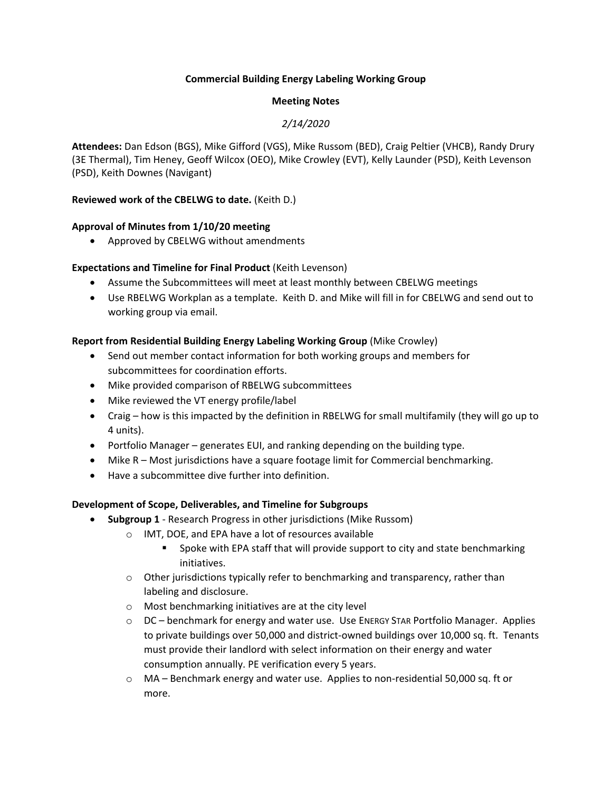### **Commercial Building Energy Labeling Working Group**

## **Meeting Notes**

## *2/14/2020*

**Attendees:** Dan Edson (BGS), Mike Gifford (VGS), Mike Russom (BED), Craig Peltier (VHCB), Randy Drury (3E Thermal), Tim Heney, Geoff Wilcox (OEO), Mike Crowley (EVT), Kelly Launder (PSD), Keith Levenson (PSD), Keith Downes (Navigant)

### **Reviewed work of the CBELWG to date.** (Keith D.)

### **Approval of Minutes from 1/10/20 meeting**

• Approved by CBELWG without amendments

### **Expectations and Timeline for Final Product** (Keith Levenson)

- Assume the Subcommittees will meet at least monthly between CBELWG meetings
- Use RBELWG Workplan as a template. Keith D. and Mike will fill in for CBELWG and send out to working group via email.

### **Report from Residential Building Energy Labeling Working Group** (Mike Crowley)

- Send out member contact information for both working groups and members for subcommittees for coordination efforts.
- Mike provided comparison of RBELWG subcommittees
- Mike reviewed the VT energy profile/label
- Craig how is this impacted by the definition in RBELWG for small multifamily (they will go up to 4 units).
- Portfolio Manager generates EUI, and ranking depending on the building type.
- Mike R Most jurisdictions have a square footage limit for Commercial benchmarking.
- Have a subcommittee dive further into definition.

### **Development of Scope, Deliverables, and Timeline for Subgroups**

- **Subgroup 1** Research Progress in other jurisdictions (Mike Russom)
	- o IMT, DOE, and EPA have a lot of resources available
		- Spoke with EPA staff that will provide support to city and state benchmarking initiatives.
	- $\circ$  Other jurisdictions typically refer to benchmarking and transparency, rather than labeling and disclosure.
	- o Most benchmarking initiatives are at the city level
	- $\circ$  DC benchmark for energy and water use. Use ENERGY STAR Portfolio Manager. Applies to private buildings over 50,000 and district-owned buildings over 10,000 sq. ft. Tenants must provide their landlord with select information on their energy and water consumption annually. PE verification every 5 years.
	- o MA Benchmark energy and water use. Applies to non-residential 50,000 sq. ft or more.